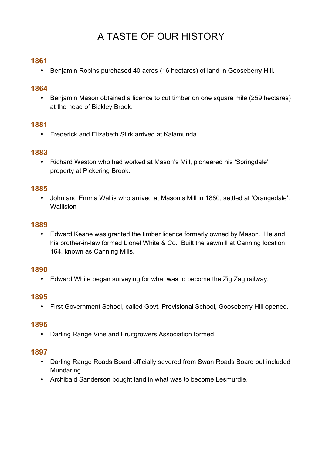# A TASTE OF OUR HISTORY

# **1861**

• Benjamin Robins purchased 40 acres (16 hectares) of land in Gooseberry Hill.

## **1864**

• Benjamin Mason obtained a licence to cut timber on one square mile (259 hectares) at the head of Bickley Brook.

## **1881**

• Frederick and Elizabeth Stirk arrived at Kalamunda

## **1883**

• Richard Weston who had worked at Mason's Mill, pioneered his 'Springdale' property at Pickering Brook.

#### **1885**

• John and Emma Wallis who arrived at Mason's Mill in 1880, settled at 'Orangedale'. **Walliston** 

## **1889**

• Edward Keane was granted the timber licence formerly owned by Mason. He and his brother-in-law formed Lionel White & Co. Built the sawmill at Canning location 164, known as Canning Mills.

#### **1890**

• Edward White began surveying for what was to become the Zig Zag railway.

#### **1895**

• First Government School, called Govt. Provisional School, Gooseberry Hill opened.

#### **1895**

• Darling Range Vine and Fruitgrowers Association formed.

#### **1897**

- Darling Range Roads Board officially severed from Swan Roads Board but included Mundaring.
- Archibald Sanderson bought land in what was to become Lesmurdie.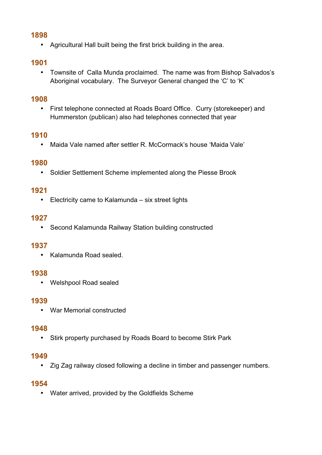## **1898**

• Agricultural Hall built being the first brick building in the area.

# **1901**

• Townsite of Calla Munda proclaimed. The name was from Bishop Salvados's Aboriginal vocabulary. The Surveyor General changed the 'C' to 'K'

## **1908**

• First telephone connected at Roads Board Office. Curry (storekeeper) and Hummerston (publican) also had telephones connected that year

# **1910**

• Maida Vale named after settler R. McCormack's house 'Maida Vale'

# **1980**

• Soldier Settlement Scheme implemented along the Piesse Brook

# **1921**

• Electricity came to Kalamunda – six street lights

## **1927**

• Second Kalamunda Railway Station building constructed

#### **1937**

• Kalamunda Road sealed.

#### **1938**

• Welshpool Road sealed

# **1939**

• War Memorial constructed

#### **1948**

• Stirk property purchased by Roads Board to become Stirk Park

#### **1949**

• Zig Zag railway closed following a decline in timber and passenger numbers.

# **1954**

• Water arrived, provided by the Goldfields Scheme